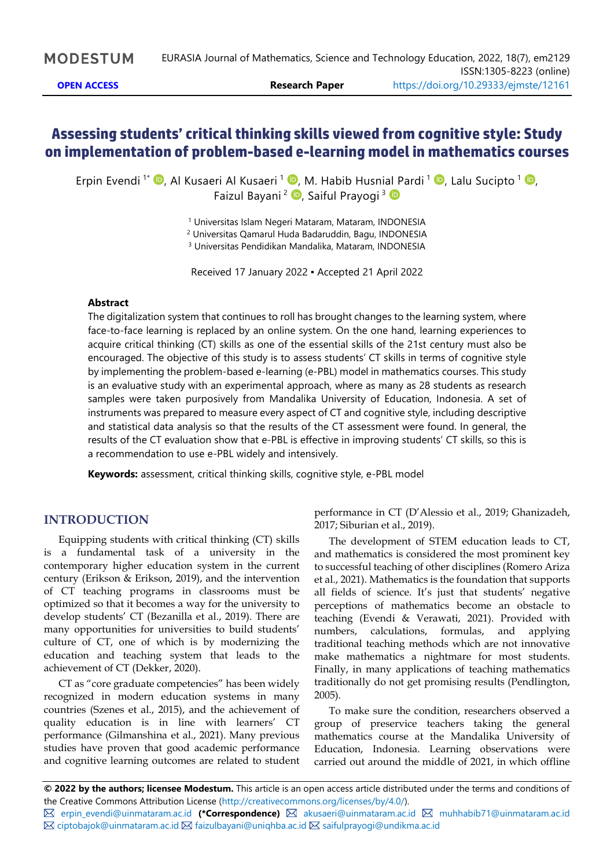# **Assessing students' criticalthinking skills viewed from cognitive style: Study on implementation of problem-based e-learning model in mathematics courses**

Erpin Evendi <sup>1\*</sup> <sup>®</sup>, Al Kusaeri Al Kusaeri <sup>1 ®</sup>, M. Habib Husnial Pardi <sup>1</sup> ®, Lalu Sucipto <sup>1</sup> ®, Faizul Bayani<sup>2</sup> D[,](https://orcid.org/0000-0003-4017-952X) Saiful Prayogi<sup>3</sup>

<sup>1</sup> Universitas Islam Negeri Mataram, Mataram, INDONESIA

<sup>2</sup> Universitas Qamarul Huda Badaruddin, Bagu, INDONESIA

<sup>3</sup> Universitas Pendidikan Mandalika, Mataram, INDONESIA

Received 17 January 2022 ▪ Accepted 21 April 2022

#### **Abstract**

The digitalization system that continues to roll has brought changes to the learning system, where face-to-face learning is replaced by an online system. On the one hand, learning experiences to acquire critical thinking (CT) skills as one of the essential skills of the 21st century must also be encouraged. The objective of this study is to assess students' CT skills in terms of cognitive style by implementing the problem-based e-learning (e-PBL) model in mathematics courses. This study is an evaluative study with an experimental approach, where as many as 28 students as research samples were taken purposively from Mandalika University of Education, Indonesia. A set of instruments was prepared to measure every aspect of CT and cognitive style, including descriptive and statistical data analysis so that the results of the CT assessment were found. In general, the results of the CT evaluation show that e-PBL is effective in improving students' CT skills, so this is a recommendation to use e-PBL widely and intensively.

**Keywords:** assessment, critical thinking skills, cognitive style, e-PBL model

## **INTRODUCTION**

Equipping students with critical thinking (CT) skills is a fundamental task of a university in the contemporary higher education system in the current century (Erikson & Erikson, 2019), and the intervention of CT teaching programs in classrooms must be optimized so that it becomes a way for the university to develop students' CT (Bezanilla et al., 2019). There are many opportunities for universities to build students' culture of CT, one of which is by modernizing the education and teaching system that leads to the achievement of CT (Dekker, 2020).

CT as "core graduate competencies" has been widely recognized in modern education systems in many countries (Szenes et al., 2015), and the achievement of quality education is in line with learners' CT performance (Gilmanshina et al., 2021). Many previous studies have proven that good academic performance and cognitive learning outcomes are related to student

performance in CT (D'Alessio et al., 2019; Ghanizadeh, 2017; Siburian et al., 2019).

The development of STEM education leads to CT, and mathematics is considered the most prominent key to successful teaching of other disciplines (Romero Ariza et al., 2021). Mathematics is the foundation that supports all fields of science. It's just that students' negative perceptions of mathematics become an obstacle to teaching (Evendi & Verawati, 2021). Provided with numbers, calculations, formulas, and applying traditional teaching methods which are not innovative make mathematics a nightmare for most students. Finally, in many applications of teaching mathematics traditionally do not get promising results (Pendlington, 2005).

To make sure the condition, researchers observed a group of preservice teachers taking the general mathematics course at the Mandalika University of Education, Indonesia. Learning observations were carried out around the middle of 2021, in which offline

**<sup>©</sup> 2022 by the authors; licensee Modestum.** This article is an open access article distributed under the terms and conditions of the Creative Commons Attribution License [\(http://creativecommons.org/licenses/by/4.0/\)](http://creativecommons.org/licenses/by/4.0/).

[erpin\\_evendi@uinmataram.ac.id](mailto:erpin_evendi@uinmataram.ac.id) **(\*Correspondence)** [akusaeri@uinmataram.ac.id](mailto:akusaeri@uinmataram.ac.id) [muhhabib71@uinmataram.ac.id](mailto:muhhabib71@uinmataram.ac.id)  $\boxtimes$  [ciptobajok@uinmataram.ac.id](mailto:ciptobajok@uinmataram.ac.id)  $\boxtimes$  [faizulbayani@uniqhba.ac.id](mailto:faizulbayani@uniqhba.ac.id)  $\boxtimes$  [saifulprayogi@undikma.ac.id](mailto:saifulprayogi@undikma.ac.id)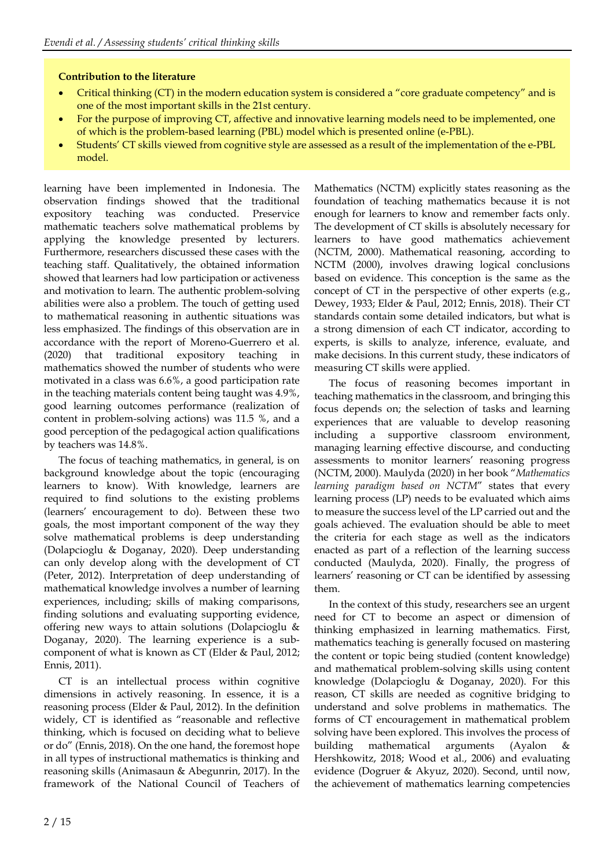## **Contribution to the literature**

- Critical thinking (CT) in the modern education system is considered a "core graduate competency" and is one of the most important skills in the 21st century.
- For the purpose of improving CT, affective and innovative learning models need to be implemented, one of which is the problem-based learning (PBL) model which is presented online (e-PBL).
- Students' CT skills viewed from cognitive style are assessed as a result of the implementation of the e-PBL model.

learning have been implemented in Indonesia. The observation findings showed that the traditional expository teaching was conducted. Preservice mathematic teachers solve mathematical problems by applying the knowledge presented by lecturers. Furthermore, researchers discussed these cases with the teaching staff. Qualitatively, the obtained information showed that learners had low participation or activeness and motivation to learn. The authentic problem-solving abilities were also a problem. The touch of getting used to mathematical reasoning in authentic situations was less emphasized. The findings of this observation are in accordance with the report of Moreno-Guerrero et al. (2020) that traditional expository teaching in mathematics showed the number of students who were motivated in a class was 6.6%, a good participation rate in the teaching materials content being taught was 4.9%, good learning outcomes performance (realization of content in problem-solving actions) was 11.5 %, and a good perception of the pedagogical action qualifications by teachers was 14.8%.

The focus of teaching mathematics, in general, is on background knowledge about the topic (encouraging learners to know). With knowledge, learners are required to find solutions to the existing problems (learners' encouragement to do). Between these two goals, the most important component of the way they solve mathematical problems is deep understanding (Dolapcioglu & Doganay, 2020). Deep understanding can only develop along with the development of CT (Peter, 2012). Interpretation of deep understanding of mathematical knowledge involves a number of learning experiences, including; skills of making comparisons, finding solutions and evaluating supporting evidence, offering new ways to attain solutions (Dolapcioglu & Doganay, 2020). The learning experience is a subcomponent of what is known as CT (Elder & Paul, 2012; Ennis, 2011).

CT is an intellectual process within cognitive dimensions in actively reasoning. In essence, it is a reasoning process (Elder & Paul, 2012). In the definition widely, CT is identified as "reasonable and reflective thinking, which is focused on deciding what to believe or do" (Ennis, 2018). On the one hand, the foremost hope in all types of instructional mathematics is thinking and reasoning skills (Animasaun & Abegunrin, 2017). In the framework of the National Council of Teachers of Mathematics (NCTM) explicitly states reasoning as the foundation of teaching mathematics because it is not enough for learners to know and remember facts only. The development of CT skills is absolutely necessary for learners to have good mathematics achievement (NCTM, 2000). Mathematical reasoning, according to NCTM (2000), involves drawing logical conclusions based on evidence. This conception is the same as the concept of CT in the perspective of other experts (e.g., Dewey, 1933; Elder & Paul, 2012; Ennis, 2018). Their CT standards contain some detailed indicators, but what is a strong dimension of each CT indicator, according to experts, is skills to analyze, inference, evaluate, and make decisions. In this current study, these indicators of measuring CT skills were applied.

The focus of reasoning becomes important in teaching mathematics in the classroom, and bringing this focus depends on; the selection of tasks and learning experiences that are valuable to develop reasoning including a supportive classroom environment, managing learning effective discourse, and conducting assessments to monitor learners' reasoning progress (NCTM, 2000). Maulyda (2020) in her book "*Mathematics learning paradigm based on NCTM*" states that every learning process (LP) needs to be evaluated which aims to measure the success level of the LP carried out and the goals achieved. The evaluation should be able to meet the criteria for each stage as well as the indicators enacted as part of a reflection of the learning success conducted (Maulyda, 2020). Finally, the progress of learners' reasoning or CT can be identified by assessing them.

In the context of this study, researchers see an urgent need for CT to become an aspect or dimension of thinking emphasized in learning mathematics. First, mathematics teaching is generally focused on mastering the content or topic being studied (content knowledge) and mathematical problem-solving skills using content knowledge (Dolapcioglu & Doganay, 2020). For this reason, CT skills are needed as cognitive bridging to understand and solve problems in mathematics. The forms of CT encouragement in mathematical problem solving have been explored. This involves the process of building mathematical arguments (Ayalon Hershkowitz, 2018; Wood et al., 2006) and evaluating evidence (Dogruer & Akyuz, 2020). Second, until now, the achievement of mathematics learning competencies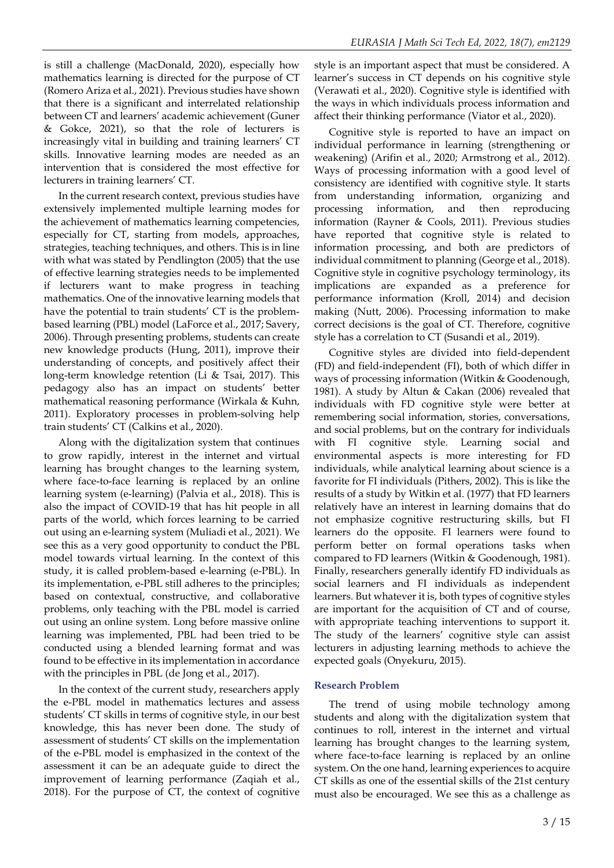is still a challenge (MacDonald, 2020), especially how mathematics learning is directed for the purpose of CT (Romero Ariza et al., 2021). Previous studies have shown that there is a significant and interrelated relationship between CT and learners' academic achievement (Guner & Gokce, 2021), so that the role of lecturers is increasingly vital in building and training learners' CT skills. Innovative learning modes are needed as an intervention that is considered the most effective for lecturers in training learners' CT.

In the current research context, previous studies have extensively implemented multiple learning modes for the achievement of mathematics learning competencies, especially for CT, starting from models, approaches, strategies, teaching techniques, and others. This is in line with what was stated by Pendlington (2005) that the use of effective learning strategies needs to be implemented if lecturers want to make progress in teaching mathematics. One of the innovative learning models that have the potential to train students' CT is the problembased learning (PBL) model (LaForce et al., 2017; Savery, 2006). Through presenting problems, students can create new knowledge products (Hung, 2011), improve their understanding of concepts, and positively affect their long-term knowledge retention (Li & Tsai, 2017). This pedagogy also has an impact on students' better mathematical reasoning performance (Wirkala & Kuhn, 2011). Exploratory processes in problem-solving help train students' CT (Calkins et al., 2020).

Along with the digitalization system that continues to grow rapidly, interest in the internet and virtual learning has brought changes to the learning system, where face-to-face learning is replaced by an online learning system (e-learning) (Palvia et al., 2018). This is also the impact of COVID-19 that has hit people in all parts of the world, which forces learning to be carried out using an e-learning system (Muliadi et al., 2021). We see this as a very good opportunity to conduct the PBL model towards virtual learning. In the context of this study, it is called problem-based e-learning (e-PBL). In its implementation, e-PBL still adheres to the principles; based on contextual, constructive, and collaborative problems, only teaching with the PBL model is carried out using an online system. Long before massive online learning was implemented, PBL had been tried to be conducted using a blended learning format and was found to be effective in its implementation in accordance with the principles in PBL (de Jong et al., 2017).

In the context of the current study, researchers apply the e-PBL model in mathematics lectures and assess students' CT skills in terms of cognitive style, in our best knowledge, this has never been done. The study of assessment of students' CT skills on the implementation of the e-PBL model is emphasized in the context of the assessment it can be an adequate guide to direct the improvement of learning performance (Zaqiah et al., 2018). For the purpose of CT, the context of cognitive

style is an important aspect that must be considered. A learner's success in CT depends on his cognitive style (Verawati et al., 2020). Cognitive style is identified with the ways in which individuals process information and affect their thinking performance (Viator et al., 2020).

Cognitive style is reported to have an impact on individual performance in learning (strengthening or weakening) (Arifin et al., 2020; Armstrong et al., 2012). Ways of processing information with a good level of consistency are identified with cognitive style. It starts from understanding information, organizing and processing information, and then reproducing information (Rayner & Cools, 2011). Previous studies have reported that cognitive style is related to information processing, and both are predictors of individual commitment to planning (George et al., 2018). Cognitive style in cognitive psychology terminology, its implications are expanded as a preference for performance information (Kroll, 2014) and decision making (Nutt, 2006). Processing information to make correct decisions is the goal of CT. Therefore, cognitive style has a correlation to CT (Susandi et al., 2019).

Cognitive styles are divided into field-dependent (FD) and field-independent (FI), both of which differ in ways of processing information (Witkin & Goodenough, 1981). A study by Altun & Cakan (2006) revealed that individuals with FD cognitive style were better at remembering social information, stories, conversations, and social problems, but on the contrary for individuals with FI cognitive style. Learning social and environmental aspects is more interesting for FD individuals, while analytical learning about science is a favorite for FI individuals (Pithers, 2002). This is like the results of a study by Witkin et al. (1977) that FD learners relatively have an interest in learning domains that do not emphasize cognitive restructuring skills, but FI learners do the opposite. FI learners were found to perform better on formal operations tasks when compared to FD learners (Witkin & Goodenough, 1981). Finally, researchers generally identify FD individuals as social learners and FI individuals as independent learners. But whatever it is, both types of cognitive styles are important for the acquisition of CT and of course, with appropriate teaching interventions to support it. The study of the learners' cognitive style can assist lecturers in adjusting learning methods to achieve the expected goals (Onyekuru, 2015).

## **Research Problem**

The trend of using mobile technology among students and along with the digitalization system that continues to roll, interest in the internet and virtual learning has brought changes to the learning system, where face-to-face learning is replaced by an online system. On the one hand, learning experiences to acquire CT skills as one of the essential skills of the 21st century must also be encouraged. We see this as a challenge as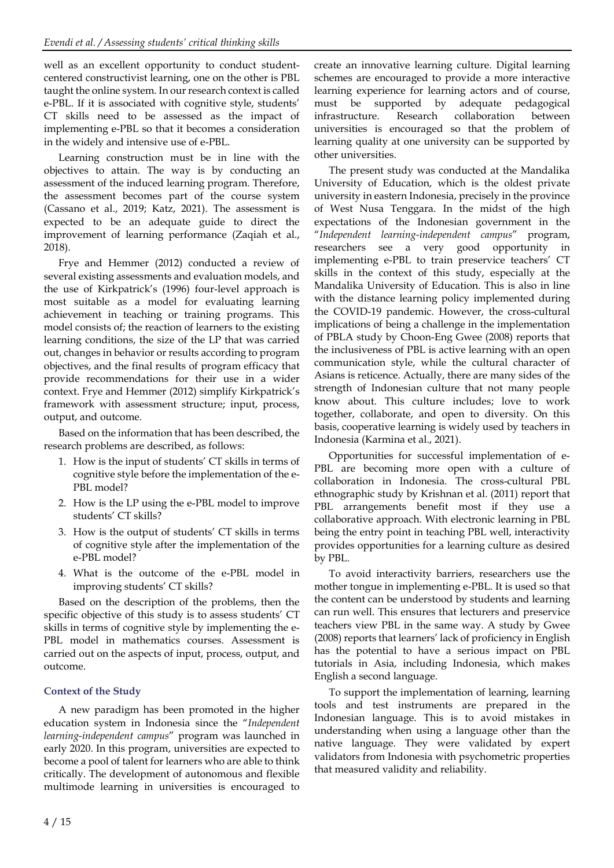well as an excellent opportunity to conduct studentcentered constructivist learning, one on the other is PBL taught the online system. In our research context is called e-PBL. If it is associated with cognitive style, students' CT skills need to be assessed as the impact of implementing e-PBL so that it becomes a consideration in the widely and intensive use of e-PBL.

Learning construction must be in line with the objectives to attain. The way is by conducting an assessment of the induced learning program. Therefore, the assessment becomes part of the course system (Cassano et al., 2019; Katz, 2021). The assessment is expected to be an adequate guide to direct the improvement of learning performance (Zaqiah et al., 2018).

Frye and Hemmer (2012) conducted a review of several existing assessments and evaluation models, and the use of Kirkpatrick's (1996) four-level approach is most suitable as a model for evaluating learning achievement in teaching or training programs. This model consists of; the reaction of learners to the existing learning conditions, the size of the LP that was carried out, changes in behavior or results according to program objectives, and the final results of program efficacy that provide recommendations for their use in a wider context. Frye and Hemmer (2012) simplify Kirkpatrick's framework with assessment structure; input, process, output, and outcome.

Based on the information that has been described, the research problems are described, as follows:

- 1. How is the input of students' CT skills in terms of cognitive style before the implementation of the e-PBL model?
- 2. How is the LP using the e-PBL model to improve students' CT skills?
- 3. How is the output of students' CT skills in terms of cognitive style after the implementation of the e-PBL model?
- 4. What is the outcome of the e-PBL model in improving students' CT skills?

Based on the description of the problems, then the specific objective of this study is to assess students' CT skills in terms of cognitive style by implementing the e-PBL model in mathematics courses. Assessment is carried out on the aspects of input, process, output, and outcome.

## **Context of the Study**

A new paradigm has been promoted in the higher education system in Indonesia since the "*Independent learning-independent campus*" program was launched in early 2020. In this program, universities are expected to become a pool of talent for learners who are able to think critically. The development of autonomous and flexible multimode learning in universities is encouraged to create an innovative learning culture. Digital learning schemes are encouraged to provide a more interactive learning experience for learning actors and of course, must be supported by adequate pedagogical infrastructure. Research collaboration between universities is encouraged so that the problem of learning quality at one university can be supported by other universities.

The present study was conducted at the Mandalika University of Education, which is the oldest private university in eastern Indonesia, precisely in the province of West Nusa Tenggara. In the midst of the high expectations of the Indonesian government in the "*Independent learning-independent campus*" program, researchers see a very good opportunity in implementing e-PBL to train preservice teachers' CT skills in the context of this study, especially at the Mandalika University of Education. This is also in line with the distance learning policy implemented during the COVID-19 pandemic. However, the cross-cultural implications of being a challenge in the implementation of PBLA study by Choon-Eng Gwee (2008) reports that the inclusiveness of PBL is active learning with an open communication style, while the cultural character of Asians is reticence. Actually, there are many sides of the strength of Indonesian culture that not many people know about. This culture includes; love to work together, collaborate, and open to diversity. On this basis, cooperative learning is widely used by teachers in Indonesia (Karmina et al., 2021).

Opportunities for successful implementation of e-PBL are becoming more open with a culture of collaboration in Indonesia. The cross-cultural PBL ethnographic study by Krishnan et al. (2011) report that PBL arrangements benefit most if they use a collaborative approach. With electronic learning in PBL being the entry point in teaching PBL well, interactivity provides opportunities for a learning culture as desired by PBL.

To avoid interactivity barriers, researchers use the mother tongue in implementing e-PBL. It is used so that the content can be understood by students and learning can run well. This ensures that lecturers and preservice teachers view PBL in the same way. A study by Gwee (2008) reports that learners' lack of proficiency in English has the potential to have a serious impact on PBL tutorials in Asia, including Indonesia, which makes English a second language.

To support the implementation of learning, learning tools and test instruments are prepared in the Indonesian language. This is to avoid mistakes in understanding when using a language other than the native language. They were validated by expert validators from Indonesia with psychometric properties that measured validity and reliability.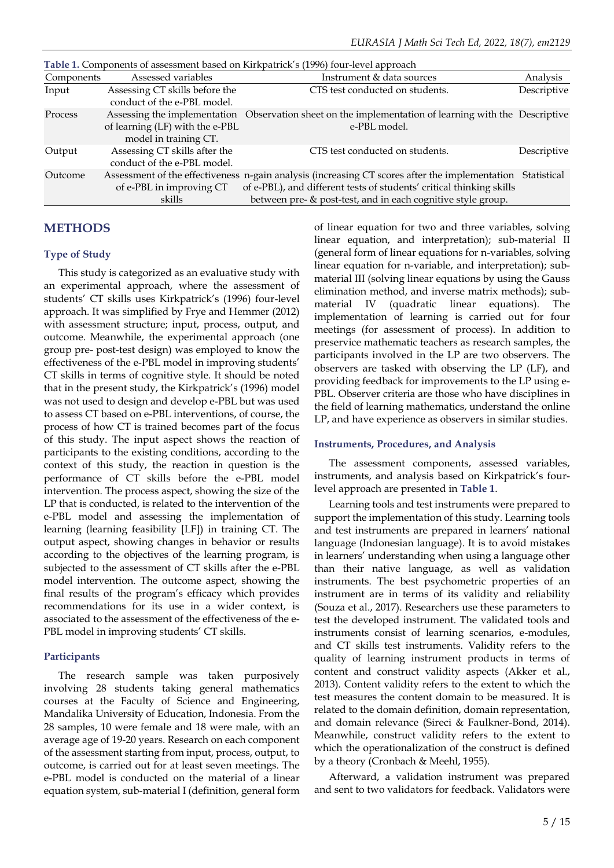| Table 1. Components of assessment based on Kirkpatrick s (1996) four-level approach |                                                                                          |                                                                                                                                                                                                                                        |             |  |  |  |
|-------------------------------------------------------------------------------------|------------------------------------------------------------------------------------------|----------------------------------------------------------------------------------------------------------------------------------------------------------------------------------------------------------------------------------------|-------------|--|--|--|
| Components                                                                          | Assessed variables                                                                       | Instrument & data sources                                                                                                                                                                                                              | Analysis    |  |  |  |
| Input                                                                               | Assessing CT skills before the<br>conduct of the e-PBL model.                            | CTS test conducted on students.                                                                                                                                                                                                        | Descriptive |  |  |  |
| Process                                                                             | Assessing the implementation<br>of learning (LF) with the e-PBL<br>model in training CT. | Observation sheet on the implementation of learning with the Descriptive<br>e-PBL model.                                                                                                                                               |             |  |  |  |
| Output                                                                              | Assessing CT skills after the<br>conduct of the e-PBL model.                             | CTS test conducted on students.                                                                                                                                                                                                        | Descriptive |  |  |  |
| Outcome                                                                             | of e-PBL in improving CT<br>skills                                                       | Assessment of the effectiveness n-gain analysis (increasing CT scores after the implementation<br>of e-PBL), and different tests of students' critical thinking skills<br>between pre- & post-test, and in each cognitive style group. | Statistical |  |  |  |

#### **Table 1.** Components of assessment based on Kirkpatrick's (1996) four-level approach

## **METHODS**

#### **Type of Study**

This study is categorized as an evaluative study with an experimental approach, where the assessment of students' CT skills uses Kirkpatrick's (1996) four-level approach. It was simplified by Frye and Hemmer (2012) with assessment structure; input, process, output, and outcome. Meanwhile, the experimental approach (one group pre- post-test design) was employed to know the effectiveness of the e-PBL model in improving students' CT skills in terms of cognitive style. It should be noted that in the present study, the Kirkpatrick's (1996) model was not used to design and develop e-PBL but was used to assess CT based on e-PBL interventions, of course, the process of how CT is trained becomes part of the focus of this study. The input aspect shows the reaction of participants to the existing conditions, according to the context of this study, the reaction in question is the performance of CT skills before the e-PBL model intervention. The process aspect, showing the size of the LP that is conducted, is related to the intervention of the e-PBL model and assessing the implementation of learning (learning feasibility [LF]) in training CT. The output aspect, showing changes in behavior or results according to the objectives of the learning program, is subjected to the assessment of CT skills after the e-PBL model intervention. The outcome aspect, showing the final results of the program's efficacy which provides recommendations for its use in a wider context, is associated to the assessment of the effectiveness of the e-PBL model in improving students' CT skills.

#### **Participants**

The research sample was taken purposively involving 28 students taking general mathematics courses at the Faculty of Science and Engineering, Mandalika University of Education, Indonesia. From the 28 samples, 10 were female and 18 were male, with an average age of 19-20 years. Research on each component of the assessment starting from input, process, output, to outcome, is carried out for at least seven meetings. The e-PBL model is conducted on the material of a linear equation system, sub-material I (definition, general form

of linear equation for two and three variables, solving linear equation, and interpretation); sub-material II (general form of linear equations for n-variables, solving linear equation for n-variable, and interpretation); submaterial III (solving linear equations by using the Gauss elimination method, and inverse matrix methods); submaterial IV (quadratic linear equations). The implementation of learning is carried out for four meetings (for assessment of process). In addition to preservice mathematic teachers as research samples, the participants involved in the LP are two observers. The observers are tasked with observing the LP (LF), and providing feedback for improvements to the LP using e-PBL. Observer criteria are those who have disciplines in the field of learning mathematics, understand the online LP, and have experience as observers in similar studies.

#### **Instruments, Procedures, and Analysis**

The assessment components, assessed variables, instruments, and analysis based on Kirkpatrick's fourlevel approach are presented in **Table 1**.

Learning tools and test instruments were prepared to support the implementation of this study. Learning tools and test instruments are prepared in learners' national language (Indonesian language). It is to avoid mistakes in learners' understanding when using a language other than their native language, as well as validation instruments. The best psychometric properties of an instrument are in terms of its validity and reliability (Souza et al., 2017). Researchers use these parameters to test the developed instrument. The validated tools and instruments consist of learning scenarios, e-modules, and CT skills test instruments. Validity refers to the quality of learning instrument products in terms of content and construct validity aspects (Akker et al., 2013). Content validity refers to the extent to which the test measures the content domain to be measured. It is related to the domain definition, domain representation, and domain relevance (Sireci & Faulkner-Bond, 2014). Meanwhile, construct validity refers to the extent to which the operationalization of the construct is defined by a theory (Cronbach & Meehl, 1955).

Afterward, a validation instrument was prepared and sent to two validators for feedback. Validators were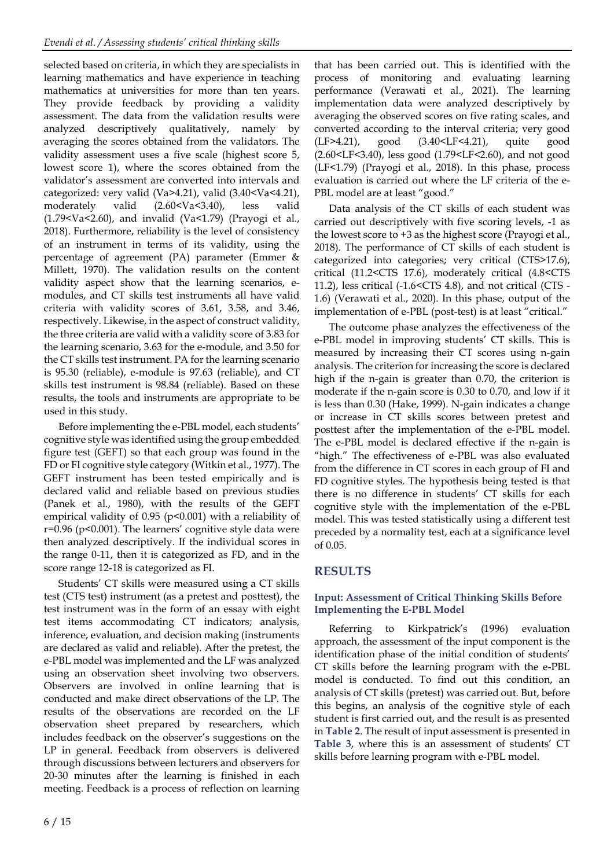selected based on criteria, in which they are specialists in learning mathematics and have experience in teaching mathematics at universities for more than ten years. They provide feedback by providing a validity assessment. The data from the validation results were analyzed descriptively qualitatively, namely by averaging the scores obtained from the validators. The validity assessment uses a five scale (highest score 5, lowest score 1), where the scores obtained from the validator's assessment are converted into intervals and categorized: very valid (Va $>4.21$ ), valid (3.40 $<$ Va $<4.21$ ), moderately valid (2.60<Va<3.40), less valid (1.79 < Va < 2.60), and invalid (Va < 1.79) (Prayogi et al., 2018). Furthermore, reliability is the level of consistency of an instrument in terms of its validity, using the percentage of agreement (PA) parameter (Emmer & Millett, 1970). The validation results on the content validity aspect show that the learning scenarios, emodules, and CT skills test instruments all have valid criteria with validity scores of 3.61, 3.58, and 3.46, respectively. Likewise, in the aspect of construct validity, the three criteria are valid with a validity score of 3.83 for the learning scenario, 3.63 for the e-module, and 3.50 for the CT skills test instrument. PA for the learning scenario is 95.30 (reliable), e-module is 97.63 (reliable), and CT skills test instrument is 98.84 (reliable). Based on these results, the tools and instruments are appropriate to be used in this study.

Before implementing the e-PBL model, each students' cognitive style was identified using the group embedded figure test (GEFT) so that each group was found in the FD or FI cognitive style category (Witkin et al., 1977). The GEFT instrument has been tested empirically and is declared valid and reliable based on previous studies (Panek et al., 1980), with the results of the GEFT empirical validity of 0.95 (p<0.001) with a reliability of  $r=0.96$  ( $p<0.001$ ). The learners' cognitive style data were then analyzed descriptively. If the individual scores in the range 0-11, then it is categorized as FD, and in the score range 12-18 is categorized as FI.

Students' CT skills were measured using a CT skills test (CTS test) instrument (as a pretest and posttest), the test instrument was in the form of an essay with eight test items accommodating CT indicators; analysis, inference, evaluation, and decision making (instruments are declared as valid and reliable). After the pretest, the e-PBL model was implemented and the LF was analyzed using an observation sheet involving two observers. Observers are involved in online learning that is conducted and make direct observations of the LP. The results of the observations are recorded on the LF observation sheet prepared by researchers, which includes feedback on the observer's suggestions on the LP in general. Feedback from observers is delivered through discussions between lecturers and observers for 20-30 minutes after the learning is finished in each meeting. Feedback is a process of reflection on learning

that has been carried out. This is identified with the process of monitoring and evaluating learning performance (Verawati et al., 2021). The learning implementation data were analyzed descriptively by averaging the observed scores on five rating scales, and converted according to the interval criteria; very good (LF>4.21), good (3.40<LF<4.21), quite good (2.60<LF<3.40), less good (1.79<LF<2.60), and not good (LF<1.79) (Prayogi et al., 2018). In this phase, process evaluation is carried out where the LF criteria of the e-PBL model are at least "good."

Data analysis of the CT skills of each student was carried out descriptively with five scoring levels, -1 as the lowest score to +3 as the highest score (Prayogi et al., 2018). The performance of CT skills of each student is categorized into categories; very critical (CTS>17.6), critical (11.2<CTS 17.6), moderately critical (4.8<CTS 11.2), less critical (-1.6<CTS 4.8), and not critical (CTS - 1.6) (Verawati et al., 2020). In this phase, output of the implementation of e-PBL (post-test) is at least "critical."

The outcome phase analyzes the effectiveness of the e-PBL model in improving students' CT skills. This is measured by increasing their CT scores using n-gain analysis. The criterion for increasing the score is declared high if the n-gain is greater than 0.70, the criterion is moderate if the n-gain score is 0.30 to 0.70, and low if it is less than 0.30 (Hake, 1999). N-gain indicates a change or increase in CT skills scores between pretest and posttest after the implementation of the e-PBL model. The e-PBL model is declared effective if the n-gain is "high." The effectiveness of e-PBL was also evaluated from the difference in CT scores in each group of FI and FD cognitive styles. The hypothesis being tested is that there is no difference in students' CT skills for each cognitive style with the implementation of the e-PBL model. This was tested statistically using a different test preceded by a normality test, each at a significance level of 0.05.

# **RESULTS**

## **Input: Assessment of Critical Thinking Skills Before Implementing the E-PBL Model**

Referring to Kirkpatrick's (1996) evaluation approach, the assessment of the input component is the identification phase of the initial condition of students' CT skills before the learning program with the e-PBL model is conducted. To find out this condition, an analysis of CT skills (pretest) was carried out. But, before this begins, an analysis of the cognitive style of each student is first carried out, and the result is as presented in **Table 2**. The result of input assessment is presented in **Table 3**, where this is an assessment of students' CT skills before learning program with e-PBL model.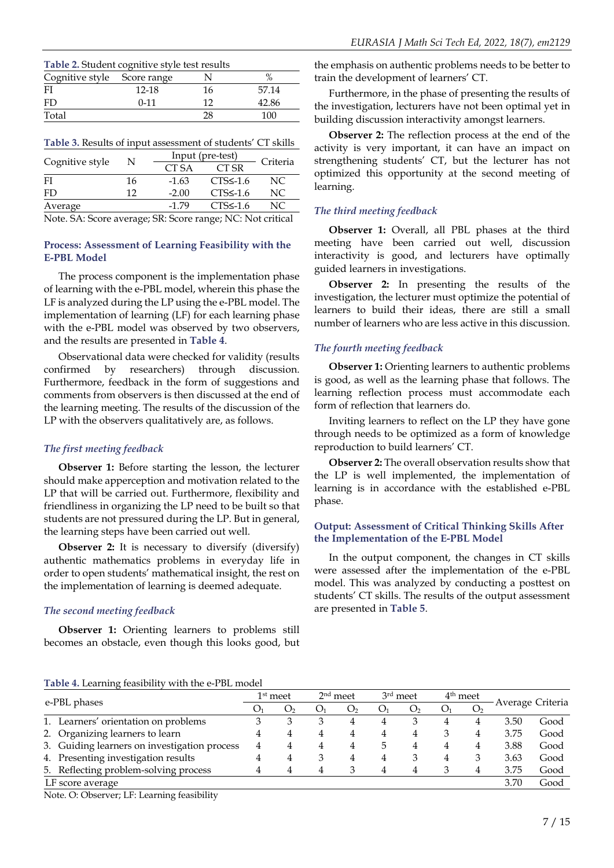| Table 2. Student cognitive style test results |          |    |       |  |  |  |
|-----------------------------------------------|----------|----|-------|--|--|--|
| Cognitive style Score range                   |          |    |       |  |  |  |
| FI                                            | 12-18    | 16 | 57.14 |  |  |  |
| FD                                            | $0 - 11$ | 12 | 42.86 |  |  |  |
| Total<br>100<br>28                            |          |    |       |  |  |  |

#### **Table 3.** Results of input assessment of students' CT skills

|                                                                                  |    | Input (pre-test) |                |          |  |  |
|----------------------------------------------------------------------------------|----|------------------|----------------|----------|--|--|
| Cognitive style                                                                  | N  | CT SA            | CT SR          | Criteria |  |  |
| FI                                                                               | 16 | $-1.63$          | $CTS5 - 1.6$   | NC.      |  |  |
| FD                                                                               | 12 | $-2.00$          | $CTS\leq -1.6$ | NC.      |  |  |
| Average                                                                          |    | $-1.79$          | $CTS\leq -1.6$ | NC.      |  |  |
| $N$ <sub>0</sub> to $C \Lambda$ Coore average $CD$ Coore range $N_C$ Mot exities |    |                  |                |          |  |  |

Note. SA: Score average; SR: Score range; NC: Not critical

### **Process: Assessment of Learning Feasibility with the E-PBL Model**

The process component is the implementation phase of learning with the e-PBL model, wherein this phase the LF is analyzed during the LP using the e-PBL model. The implementation of learning (LF) for each learning phase with the e-PBL model was observed by two observers, and the results are presented in **Table 4**.

Observational data were checked for validity (results confirmed by researchers) through discussion. Furthermore, feedback in the form of suggestions and comments from observers is then discussed at the end of the learning meeting. The results of the discussion of the LP with the observers qualitatively are, as follows.

## *The first meeting feedback*

**Observer 1:** Before starting the lesson, the lecturer should make apperception and motivation related to the LP that will be carried out. Furthermore, flexibility and friendliness in organizing the LP need to be built so that students are not pressured during the LP. But in general, the learning steps have been carried out well.

**Observer 2:** It is necessary to diversify (diversify) authentic mathematics problems in everyday life in order to open students' mathematical insight, the rest on the implementation of learning is deemed adequate.

## *The second meeting feedback*

**Observer 1:** Orienting learners to problems still becomes an obstacle, even though this looks good, but the emphasis on authentic problems needs to be better to train the development of learners' CT.

Furthermore, in the phase of presenting the results of the investigation, lecturers have not been optimal yet in building discussion interactivity amongst learners.

**Observer 2:** The reflection process at the end of the activity is very important, it can have an impact on strengthening students' CT, but the lecturer has not optimized this opportunity at the second meeting of learning.

## *The third meeting feedback*

**Observer 1:** Overall, all PBL phases at the third meeting have been carried out well, discussion interactivity is good, and lecturers have optimally guided learners in investigations.

**Observer 2:** In presenting the results of the investigation, the lecturer must optimize the potential of learners to build their ideas, there are still a small number of learners who are less active in this discussion.

## *The fourth meeting feedback*

**Observer 1:** Orienting learners to authentic problems is good, as well as the learning phase that follows. The learning reflection process must accommodate each form of reflection that learners do.

Inviting learners to reflect on the LP they have gone through needs to be optimized as a form of knowledge reproduction to build learners' CT.

**Observer 2:** The overall observation results show that the LP is well implemented, the implementation of learning is in accordance with the established e-PBL phase.

#### **Output: Assessment of Critical Thinking Skills After the Implementation of the E-PBL Model**

In the output component, the changes in CT skills were assessed after the implementation of the e-PBL model. This was analyzed by conducting a posttest on students' CT skills. The results of the output assessment are presented in **Table 5**.

**Table 4.** Learning feasibility with the e-PBL model

| e-PBL phases                                 |   | $1^{\rm st}$ meet |                | $2nd$ meet     |                | 3rd meet       |    | 4 <sup>th</sup> meet | Average Criteria |      |
|----------------------------------------------|---|-------------------|----------------|----------------|----------------|----------------|----|----------------------|------------------|------|
|                                              |   | O <sub>2</sub>    | O <sub>1</sub> | O <sub>2</sub> | O <sub>1</sub> | O <sub>2</sub> | O1 | O <sub>2</sub>       |                  |      |
| 1. Learners' orientation on problems         |   |                   |                | 4              | 4              | 3              |    | 4                    | 3.50             | Good |
| 2. Organizing learners to learn              | 4 | 4                 | 4              | 4              | 4              | 4              |    | 4                    | 3.75             | Good |
| 3. Guiding learners on investigation process | 4 |                   |                | 4              | 5              | 4              |    | 4                    | 3.88             | Good |
| 4. Presenting investigation results          | 4 |                   | 3              | 4              | 4              | 3              |    | 3                    | 3.63             | Good |
| 5. Reflecting problem-solving process        | 4 |                   |                | ٩              | 4              | 4              |    | 4                    | 3.75             | Good |
| LF score average                             |   |                   |                |                |                |                |    |                      | 3.70             | Good |

Note. O: Observer; LF: Learning feasibility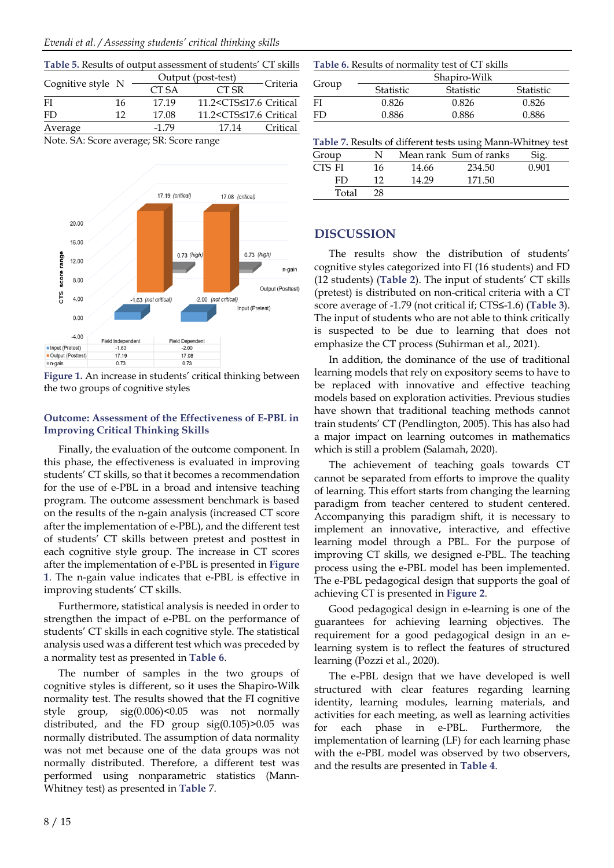| Table 5. Results of output assessment of students' CT skills |    |         |                                                        |            |  |
|--------------------------------------------------------------|----|---------|--------------------------------------------------------|------------|--|
|                                                              |    |         | Output (post-test)                                     |            |  |
| Cognitive style N                                            |    | CT SA   | CT SR                                                  | - Criteria |  |
| FI                                                           | 16 | 17.19   | 11.2 <cts≤17.6 critical<="" td=""><td></td></cts≤17.6> |            |  |
| FD                                                           | 12 | 17.08   | 11.2 <cts≤17.6 critical<="" td=""><td></td></cts≤17.6> |            |  |
| Average                                                      |    | $-1.79$ | 17.14                                                  | Critical   |  |
| Note $SA \cdot Scora gyoraa; RP \cdot Scara rana$            |    |         |                                                        |            |  |

Note. SA: Score average; SR: Score range



**Figure 1.** An increase in students' critical thinking between the two groups of cognitive styles

## **Outcome: Assessment of the Effectiveness of E-PBL in Improving Critical Thinking Skills**

Finally, the evaluation of the outcome component. In this phase, the effectiveness is evaluated in improving students' CT skills, so that it becomes a recommendation for the use of e-PBL in a broad and intensive teaching program. The outcome assessment benchmark is based on the results of the n-gain analysis (increased CT score after the implementation of e-PBL), and the different test of students' CT skills between pretest and posttest in each cognitive style group. The increase in CT scores after the implementation of e-PBL is presented in **Figure 1**. The n-gain value indicates that e-PBL is effective in improving students' CT skills.

Furthermore, statistical analysis is needed in order to strengthen the impact of e-PBL on the performance of students' CT skills in each cognitive style. The statistical analysis used was a different test which was preceded by a normality test as presented in **Table 6**.

The number of samples in the two groups of cognitive styles is different, so it uses the Shapiro-Wilk normality test. The results showed that the FI cognitive style group, sig(0.006)<0.05 was not normally distributed, and the FD group sig(0.105)>0.05 was normally distributed. The assumption of data normality was not met because one of the data groups was not normally distributed. Therefore, a different test was performed using nonparametric statistics (Mann-Whitney test) as presented in **Table** 7.

| Table 6. Results of normality test of CT skills |                         |              |           |  |  |  |
|-------------------------------------------------|-------------------------|--------------|-----------|--|--|--|
|                                                 |                         | Shapiro-Wilk |           |  |  |  |
| Group                                           | Statistic               | Statistic    | Statistic |  |  |  |
| FI                                              | 0.826                   | 0.826        | 0.826     |  |  |  |
| FD                                              | 0.886<br>0.886<br>0.886 |              |           |  |  |  |

| Table 7. Results of different tests using Mann-Whitney test |     |       |                        |       |  |  |
|-------------------------------------------------------------|-----|-------|------------------------|-------|--|--|
| Group                                                       | N.  |       | Mean rank Sum of ranks | Sig.  |  |  |
| CTS FI                                                      | 16. | 14.66 | 234.50                 | 0.901 |  |  |

| CIS FI |       | 16 | 14.66 | 234.50 | 0.901 |
|--------|-------|----|-------|--------|-------|
|        | FD    | 10 | 14.29 | 171.50 |       |
|        | Total | 28 |       |        |       |
|        |       |    |       |        |       |

## **DISCUSSION**

The results show the distribution of students' cognitive styles categorized into FI (16 students) and FD (12 students) (**Table 2**). The input of students' CT skills (pretest) is distributed on non-critical criteria with a CT score average of -1.79 (not critical if; CTS≤-1.6) (**Table 3**). The input of students who are not able to think critically is suspected to be due to learning that does not emphasize the CT process (Suhirman et al., 2021).

In addition, the dominance of the use of traditional learning models that rely on expository seems to have to be replaced with innovative and effective teaching models based on exploration activities. Previous studies have shown that traditional teaching methods cannot train students' CT (Pendlington, 2005). This has also had a major impact on learning outcomes in mathematics which is still a problem (Salamah, 2020).

The achievement of teaching goals towards CT cannot be separated from efforts to improve the quality of learning. This effort starts from changing the learning paradigm from teacher centered to student centered. Accompanying this paradigm shift, it is necessary to implement an innovative, interactive, and effective learning model through a PBL. For the purpose of improving CT skills, we designed e-PBL. The teaching process using the e-PBL model has been implemented. The e-PBL pedagogical design that supports the goal of achieving CT is presented in **Figure 2**.

Good pedagogical design in e-learning is one of the guarantees for achieving learning objectives. The requirement for a good pedagogical design in an elearning system is to reflect the features of structured learning (Pozzi et al., 2020).

The e-PBL design that we have developed is well structured with clear features regarding learning identity, learning modules, learning materials, and activities for each meeting, as well as learning activities for each phase in e-PBL. Furthermore, the implementation of learning (LF) for each learning phase with the e-PBL model was observed by two observers, and the results are presented in **Table 4**.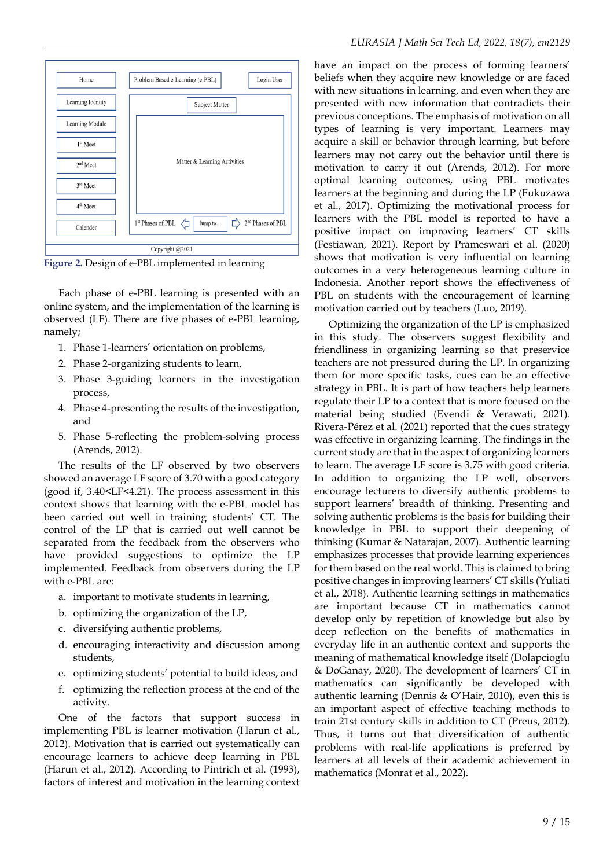

**Figure 2.** Design of e-PBL implemented in learning

Each phase of e-PBL learning is presented with an online system, and the implementation of the learning is observed (LF). There are five phases of e-PBL learning, namely;

- 1. Phase 1-learners' orientation on problems,
- 2. Phase 2-organizing students to learn,
- 3. Phase 3-guiding learners in the investigation process,
- 4. Phase 4-presenting the results of the investigation, and
- 5. Phase 5-reflecting the problem-solving process (Arends, 2012).

The results of the LF observed by two observers showed an average LF score of 3.70 with a good category (good if, 3.40<LF<4.21). The process assessment in this context shows that learning with the e-PBL model has been carried out well in training students' CT. The control of the LP that is carried out well cannot be separated from the feedback from the observers who have provided suggestions to optimize the LP implemented. Feedback from observers during the LP with e-PBL are:

- a. important to motivate students in learning,
- b. optimizing the organization of the LP,
- c. diversifying authentic problems,
- d. encouraging interactivity and discussion among students,
- e. optimizing students' potential to build ideas, and
- f. optimizing the reflection process at the end of the activity.

One of the factors that support success in implementing PBL is learner motivation (Harun et al., 2012). Motivation that is carried out systematically can encourage learners to achieve deep learning in PBL (Harun et al., 2012). According to Pintrich et al. (1993), factors of interest and motivation in the learning context have an impact on the process of forming learners' beliefs when they acquire new knowledge or are faced with new situations in learning, and even when they are presented with new information that contradicts their previous conceptions. The emphasis of motivation on all types of learning is very important. Learners may acquire a skill or behavior through learning, but before learners may not carry out the behavior until there is motivation to carry it out (Arends, 2012). For more optimal learning outcomes, using PBL motivates learners at the beginning and during the LP (Fukuzawa et al., 2017). Optimizing the motivational process for learners with the PBL model is reported to have a positive impact on improving learners' CT skills (Festiawan, 2021). Report by Prameswari et al. (2020) shows that motivation is very influential on learning outcomes in a very heterogeneous learning culture in Indonesia. Another report shows the effectiveness of PBL on students with the encouragement of learning motivation carried out by teachers (Luo, 2019).

Optimizing the organization of the LP is emphasized in this study. The observers suggest flexibility and friendliness in organizing learning so that preservice teachers are not pressured during the LP. In organizing them for more specific tasks, cues can be an effective strategy in PBL. It is part of how teachers help learners regulate their LP to a context that is more focused on the material being studied (Evendi & Verawati, 2021). Rivera-Pérez et al. (2021) reported that the cues strategy was effective in organizing learning. The findings in the current study are that in the aspect of organizing learners to learn. The average LF score is 3.75 with good criteria. In addition to organizing the LP well, observers encourage lecturers to diversify authentic problems to support learners' breadth of thinking. Presenting and solving authentic problems is the basis for building their knowledge in PBL to support their deepening of thinking (Kumar & Natarajan, 2007). Authentic learning emphasizes processes that provide learning experiences for them based on the real world. This is claimed to bring positive changes in improving learners' CT skills (Yuliati et al., 2018). Authentic learning settings in mathematics are important because CT in mathematics cannot develop only by repetition of knowledge but also by deep reflection on the benefits of mathematics in everyday life in an authentic context and supports the meaning of mathematical knowledge itself (Dolapcioglu & DoGanay, 2020). The development of learners' CT in mathematics can significantly be developed with authentic learning (Dennis & O'Hair, 2010), even this is an important aspect of effective teaching methods to train 21st century skills in addition to CT (Preus, 2012). Thus, it turns out that diversification of authentic problems with real-life applications is preferred by learners at all levels of their academic achievement in mathematics (Monrat et al., 2022).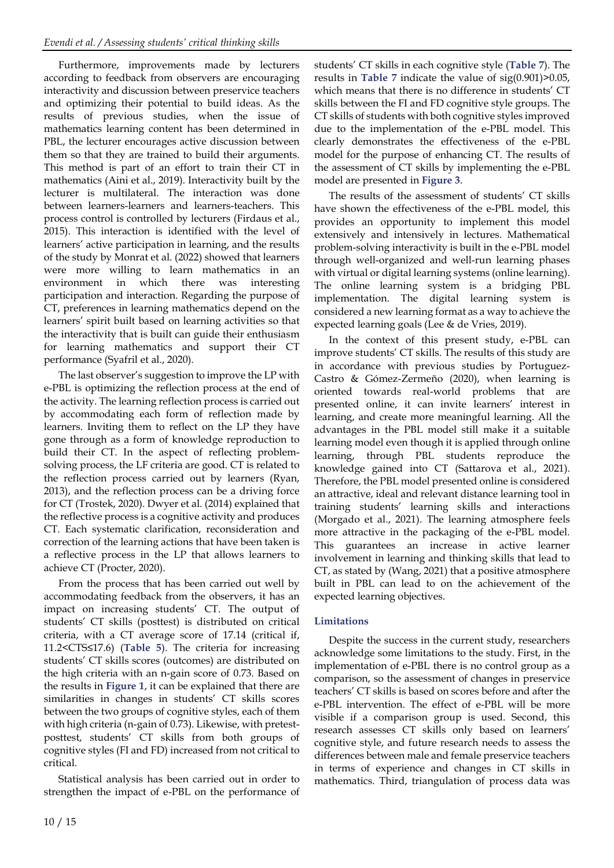Furthermore, improvements made by lecturers according to feedback from observers are encouraging interactivity and discussion between preservice teachers and optimizing their potential to build ideas. As the results of previous studies, when the issue of mathematics learning content has been determined in PBL, the lecturer encourages active discussion between them so that they are trained to build their arguments. This method is part of an effort to train their CT in mathematics (Aini et al., 2019). Interactivity built by the lecturer is multilateral. The interaction was done between learners-learners and learners-teachers. This process control is controlled by lecturers (Firdaus et al., 2015). This interaction is identified with the level of learners' active participation in learning, and the results of the study by Monrat et al. (2022) showed that learners were more willing to learn mathematics in an environment in which there was interesting participation and interaction. Regarding the purpose of CT, preferences in learning mathematics depend on the learners' spirit built based on learning activities so that the interactivity that is built can guide their enthusiasm for learning mathematics and support their CT performance (Syafril et al., 2020).

The last observer's suggestion to improve the LP with e-PBL is optimizing the reflection process at the end of the activity. The learning reflection process is carried out by accommodating each form of reflection made by learners. Inviting them to reflect on the LP they have gone through as a form of knowledge reproduction to build their CT. In the aspect of reflecting problemsolving process, the LF criteria are good. CT is related to the reflection process carried out by learners (Ryan, 2013), and the reflection process can be a driving force for CT (Trostek, 2020). Dwyer et al. (2014) explained that the reflective process is a cognitive activity and produces CT. Each systematic clarification, reconsideration and correction of the learning actions that have been taken is a reflective process in the LP that allows learners to achieve CT (Procter, 2020).

From the process that has been carried out well by accommodating feedback from the observers, it has an impact on increasing students' CT. The output of students' CT skills (posttest) is distributed on critical criteria, with a CT average score of 17.14 (critical if, 11.2<CTS≤17.6) (**Table 5**). The criteria for increasing students' CT skills scores (outcomes) are distributed on the high criteria with an n-gain score of 0.73. Based on the results in **Figure 1**, it can be explained that there are similarities in changes in students' CT skills scores between the two groups of cognitive styles, each of them with high criteria (n-gain of 0.73). Likewise, with pretestposttest, students' CT skills from both groups of cognitive styles (FI and FD) increased from not critical to critical.

Statistical analysis has been carried out in order to strengthen the impact of e-PBL on the performance of

students' CT skills in each cognitive style (**Table 7**). The results in **Table 7** indicate the value of sig(0.901)>0.05, which means that there is no difference in students' CT skills between the FI and FD cognitive style groups. The CT skills of students with both cognitive styles improved due to the implementation of the e-PBL model. This clearly demonstrates the effectiveness of the e-PBL model for the purpose of enhancing CT. The results of the assessment of CT skills by implementing the e-PBL model are presented in **Figure 3**.

The results of the assessment of students' CT skills have shown the effectiveness of the e-PBL model, this provides an opportunity to implement this model extensively and intensively in lectures. Mathematical problem-solving interactivity is built in the e-PBL model through well-organized and well-run learning phases with virtual or digital learning systems (online learning). The online learning system is a bridging PBL implementation. The digital learning system is considered a new learning format as a way to achieve the expected learning goals (Lee & de Vries, 2019).

In the context of this present study, e-PBL can improve students' CT skills. The results of this study are in accordance with previous studies by Portuguez-Castro & Gómez-Zermeño (2020), when learning is oriented towards real-world problems that are presented online, it can invite learners' interest in learning, and create more meaningful learning. All the advantages in the PBL model still make it a suitable learning model even though it is applied through online learning, through PBL students reproduce the knowledge gained into CT (Sattarova et al., 2021). Therefore, the PBL model presented online is considered an attractive, ideal and relevant distance learning tool in training students' learning skills and interactions (Morgado et al., 2021). The learning atmosphere feels more attractive in the packaging of the e-PBL model. This guarantees an increase in active learner involvement in learning and thinking skills that lead to CT, as stated by (Wang, 2021) that a positive atmosphere built in PBL can lead to on the achievement of the expected learning objectives.

## **Limitations**

Despite the success in the current study, researchers acknowledge some limitations to the study. First, in the implementation of e-PBL there is no control group as a comparison, so the assessment of changes in preservice teachers' CT skills is based on scores before and after the e-PBL intervention. The effect of e-PBL will be more visible if a comparison group is used. Second, this research assesses CT skills only based on learners' cognitive style, and future research needs to assess the differences between male and female preservice teachers in terms of experience and changes in CT skills in mathematics. Third, triangulation of process data was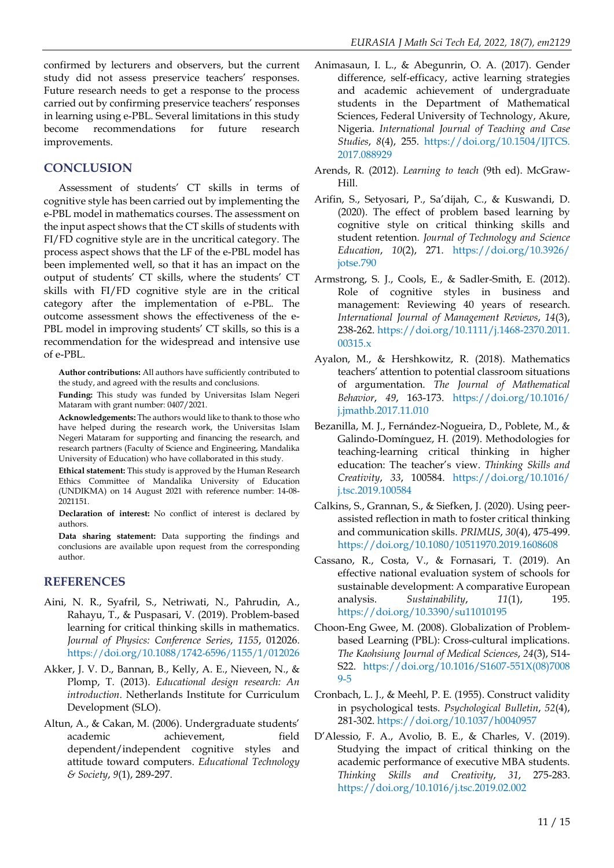confirmed by lecturers and observers, but the current study did not assess preservice teachers' responses. Future research needs to get a response to the process carried out by confirming preservice teachers' responses in learning using e-PBL. Several limitations in this study become recommendations for future research improvements.

# **CONCLUSION**

Assessment of students' CT skills in terms of cognitive style has been carried out by implementing the e-PBL model in mathematics courses. The assessment on the input aspect shows that the CT skills of students with FI/FD cognitive style are in the uncritical category. The process aspect shows that the LF of the e-PBL model has been implemented well, so that it has an impact on the output of students' CT skills, where the students' CT skills with FI/FD cognitive style are in the critical category after the implementation of e-PBL. The outcome assessment shows the effectiveness of the e-PBL model in improving students' CT skills, so this is a recommendation for the widespread and intensive use of e-PBL.

**Author contributions:** All authors have sufficiently contributed to the study, and agreed with the results and conclusions.

**Funding:** This study was funded by Universitas Islam Negeri Mataram with grant number: 0407/2021.

**Acknowledgements:** The authors would like to thank to those who have helped during the research work, the Universitas Islam Negeri Mataram for supporting and financing the research, and research partners (Faculty of Science and Engineering, Mandalika University of Education) who have collaborated in this study.

**Ethical statement:** This study is approved by the Human Research Ethics Committee of Mandalika University of Education (UNDIKMA) on 14 August 2021 with reference number: 14-08- 2021151.

**Declaration of interest:** No conflict of interest is declared by authors.

**Data sharing statement:** Data supporting the findings and conclusions are available upon request from the corresponding author.

# **REFERENCES**

- Aini, N. R., Syafril, S., Netriwati, N., Pahrudin, A., Rahayu, T., & Puspasari, V. (2019). Problem-based learning for critical thinking skills in mathematics. *Journal of Physics: Conference Series*, *1155*, 012026. https://doi.org/[10.1088](https://doi.org/10.1088/1742-6596/1155/1/012026)/1742-6596/1155/1/012026
- Akker, J. V. D., Bannan, B., Kelly, A. E., Nieveen, N., & Plomp, T. (2013). *Educational design research: An introduction*. Netherlands Institute for Curriculum Development (SLO).
- Altun, A., & Cakan, M. (2006). Undergraduate students' academic achievement, field dependent/independent cognitive styles and attitude toward computers. *Educational Technology & Society*, *9*(1), 289-297.
- Animasaun, I. L., & Abegunrin, O. A. (2017). Gender difference, self-efficacy, active learning strategies and academic achievement of undergraduate students in the Department of Mathematical Sciences, Federal University of Technology, Akure, Nigeria. *International Journal of Teaching and Case Studies*, *8*(4), 255. [https://doi.org/10.1504/IJTCS.](https://doi.org/10.1504/IJTCS.2017.088929) [2017.088929](https://doi.org/10.1504/IJTCS.2017.088929)
- Arends, R. (2012). *Learning to teach* (9th ed). McGraw-Hill.
- Arifin, S., Setyosari, P., Sa'dijah, C., & Kuswandi, D. (2020). The effect of problem based learning by cognitive style on critical thinking skills and student retention. *Journal of Technology and Science Education*, *10*(2), 271. [https://doi.org/10.3926/](https://doi.org/10.3926/jotse.790) [jotse.790](https://doi.org/10.3926/jotse.790)
- Armstrong, S. J., Cools, E., & Sadler-Smith, E. (2012). Role of cognitive styles in business and management: Reviewing 40 years of research. *International Journal of Management Reviews*, *14*(3), 238-262. [https://doi.org/10.1111/j.1468-2370.2011.](https://doi.org/10.1111/j.1468-2370.2011.00315.x) [00315.x](https://doi.org/10.1111/j.1468-2370.2011.00315.x)
- Ayalon, M., & Hershkowitz, R. (2018). Mathematics teachers' attention to potential classroom situations of argumentation. *The Journal of Mathematical Behavior*, *49*, 163-173. [https://doi.org/10.1016/](https://doi.org/10.1016/j.jmathb.2017.11.010) [j.jmathb.2017.11.010](https://doi.org/10.1016/j.jmathb.2017.11.010)
- Bezanilla, M. J., Fernández-Nogueira, D., Poblete, M., & Galindo-Domínguez, H. (2019). Methodologies for teaching-learning critical thinking in higher education: The teacher's view. *Thinking Skills and Creativity*, *33*, 100584. [https://doi.org/10.1016/](https://doi.org/10.1016/j.tsc.2019.100584) [j.tsc.2019.100584](https://doi.org/10.1016/j.tsc.2019.100584)
- Calkins, S., Grannan, S., & Siefken, J. (2020). Using peerassisted reflection in math to foster critical thinking and communication skills. *PRIMUS*, *30*(4), 475-499. <https://doi.org/10.1080/10511970.2019.1608608>
- Cassano, R., Costa, V., & Fornasari, T. (2019). An effective national evaluation system of schools for sustainable development: A comparative European analysis. *Sustainability*, *11*(1), 195. <https://doi.org/10.3390/su11010195>
- Choon-Eng Gwee, M. (2008). Globalization of Problembased Learning (PBL): Cross-cultural implications. *The Kaohsiung Journal of Medical Sciences*, *24*(3), S14- S22. [https://doi.org/10.1016/S1607-551X\(08\)7008](https://doi.org/10.1016/S1607-551X(08)70089-5) [9-5](https://doi.org/10.1016/S1607-551X(08)70089-5)
- Cronbach, L. J., & Meehl, P. E. (1955). Construct validity in psychological tests. *Psychological Bulletin*, *52*(4), 281-302. <https://doi.org/10.1037/h0040957>
- D'Alessio, F. A., Avolio, B. E., & Charles, V. (2019). Studying the impact of critical thinking on the academic performance of executive MBA students. *Thinking Skills and Creativity*, *31*, 275-283. <https://doi.org/10.1016/j.tsc.2019.02.002>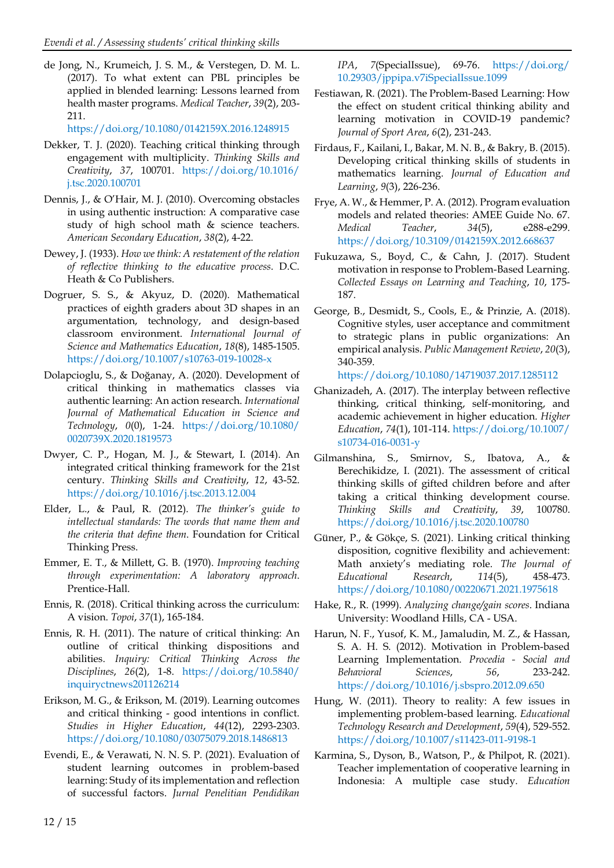de Jong, N., Krumeich, J. S. M., & Verstegen, D. M. L. (2017). To what extent can PBL principles be applied in blended learning: Lessons learned from health master programs. *Medical Teacher*, *39*(2), 203- 211.

<https://doi.org/10.1080/0142159X.2016.1248915>

- Dekker, T. J. (2020). Teaching critical thinking through engagement with multiplicity. *Thinking Skills and Creativity*, *37*, 100701. [https://doi.org/10.1016/](https://doi.org/10.1016/j.tsc.2020.100701) [j.tsc.2020.100701](https://doi.org/10.1016/j.tsc.2020.100701)
- Dennis, J., & O'Hair, M. J. (2010). Overcoming obstacles in using authentic instruction: A comparative case study of high school math & science teachers. *American Secondary Education*, *38*(2), 4-22.
- Dewey, J. (1933). *How we think: A restatement of the relation of reflective thinking to the educative process*. D.C. Heath & Co Publishers.
- Dogruer, S. S., & Akyuz, D. (2020). Mathematical practices of eighth graders about 3D shapes in an argumentation, technology, and design-based classroom environment. *International Journal of Science and Mathematics Education*, *18*(8), 1485-1505. <https://doi.org/10.1007/s10763-019-10028-x>
- Dolapcioglu, S., & Doğanay, A. (2020). Development of critical thinking in mathematics classes via authentic learning: An action research. *International Journal of Mathematical Education in Science and Technology*, *0*(0), 1-24. [https://doi.org/10.1080/](https://doi.org/10.1080/0020739X.2020.1819573) [0020739X.2020.1819573](https://doi.org/10.1080/0020739X.2020.1819573)
- Dwyer, C. P., Hogan, M. J., & Stewart, I. (2014). An integrated critical thinking framework for the 21st century. *Thinking Skills and Creativity*, *12*, 43-52. <https://doi.org/10.1016/j.tsc.2013.12.004>
- Elder, L., & Paul, R. (2012). *The thinker's guide to intellectual standards: The words that name them and the criteria that define them*. Foundation for Critical Thinking Press.
- Emmer, E. T., & Millett, G. B. (1970). *Improving teaching through experimentation: A laboratory approach*. Prentice-Hall.
- Ennis, R. (2018). Critical thinking across the curriculum: A vision. *Topoi*, *37*(1), 165-184.
- Ennis, R. H. (2011). The nature of critical thinking: An outline of critical thinking dispositions and abilities. *Inquiry: Critical Thinking Across the Disciplines*, *26*(2), 1-8. [https://doi.org/10.5840/](https://doi.org/10.5840/inquiryctnews201126214) [inquiryctnews201126214](https://doi.org/10.5840/inquiryctnews201126214)
- Erikson, M. G., & Erikson, M. (2019). Learning outcomes and critical thinking - good intentions in conflict. *Studies in Higher Education*, *44*(12), 2293-2303. <https://doi.org/10.1080/03075079.2018.1486813>
- Evendi, E., & Verawati, N. N. S. P. (2021). Evaluation of student learning outcomes in problem-based learning: Study of its implementation and reflection of successful factors. *Jurnal Penelitian Pendidikan*

*IPA*, *7*(SpecialIssue), 69-76. [https://doi.org/](https://doi.org/10.29303/jppipa.v7iSpecialIssue.1099) [10.29303/jppipa.v7iSpecialIssue.1099](https://doi.org/10.29303/jppipa.v7iSpecialIssue.1099)

- Festiawan, R. (2021). The Problem-Based Learning: How the effect on student critical thinking ability and learning motivation in COVID-19 pandemic? *Journal of Sport Area*, *6*(2), 231-243.
- Firdaus, F., Kailani, I., Bakar, M. N. B., & Bakry, B. (2015). Developing critical thinking skills of students in mathematics learning. *Journal of Education and Learning*, *9*(3), 226-236.
- Frye, A. W., & Hemmer, P. A. (2012). Program evaluation models and related theories: AMEE Guide No. 67. *Medical Teacher*, *34*(5), e288-e299. <https://doi.org/10.3109/0142159X.2012.668637>
- Fukuzawa, S., Boyd, C., & Cahn, J. (2017). Student motivation in response to Problem-Based Learning. *Collected Essays on Learning and Teaching*, *10*, 175- 187.
- George, B., Desmidt, S., Cools, E., & Prinzie, A. (2018). Cognitive styles, user acceptance and commitment to strategic plans in public organizations: An empirical analysis. *Public Management Review*, *20*(3), 340-359.

<https://doi.org/10.1080/14719037.2017.1285112>

- Ghanizadeh, A. (2017). The interplay between reflective thinking, critical thinking, self-monitoring, and academic achievement in higher education. *Higher Education*, *74*(1), 101-114. [https://doi.org/10.1007/](https://doi.org/10.1007/s10734-016-0031-y) [s10734-016-0031-y](https://doi.org/10.1007/s10734-016-0031-y)
- Gilmanshina, S., Smirnov, S., Ibatova, A., & Berechikidze, I. (2021). The assessment of critical thinking skills of gifted children before and after taking a critical thinking development course. *Thinking Skills and Creativity*, *39*, 100780. <https://doi.org/10.1016/j.tsc.2020.100780>
- Güner, P., & Gökçe, S. (2021). Linking critical thinking disposition, cognitive flexibility and achievement: Math anxiety's mediating role. *The Journal of Educational Research*, *114*(5), 458-473. <https://doi.org/10.1080/00220671.2021.1975618>
- Hake, R., R. (1999). *Analyzing change/gain scores*. Indiana University: Woodland Hills, CA - USA.
- Harun, N. F., Yusof, K. M., Jamaludin, M. Z., & Hassan, S. A. H. S. (2012). Motivation in Problem-based Learning Implementation. *Procedia - Social and Behavioral Sciences*, *56*, 233-242. <https://doi.org/10.1016/j.sbspro.2012.09.650>
- Hung, W. (2011). Theory to reality: A few issues in implementing problem-based learning. *Educational Technology Research and Development*, *59*(4), 529-552. <https://doi.org/10.1007/s11423-011-9198-1>
- Karmina, S., Dyson, B., Watson, P., & Philpot, R. (2021). Teacher implementation of cooperative learning in Indonesia: A multiple case study. *Education*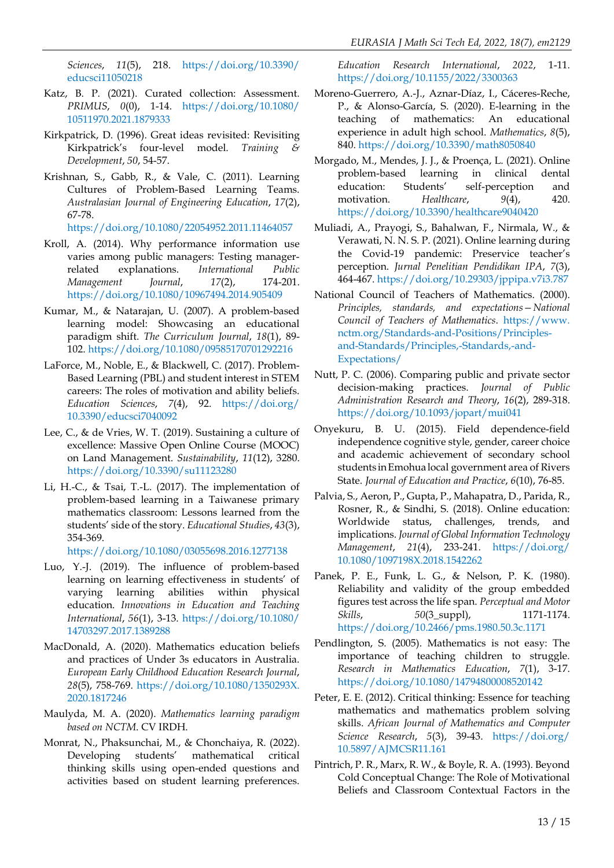*Sciences*, *11*(5), 218. [https://doi.org/10.3390/](https://doi.org/10.3390/educsci11050218) [educsci11050218](https://doi.org/10.3390/educsci11050218)

- Katz, B. P. (2021). Curated collection: Assessment. *PRIMUS*, *0*(0), 1-14. [https://doi.org/10.1080/](https://doi.org/10.1080/10511970.2021.1879333) [10511970.2021.1879333](https://doi.org/10.1080/10511970.2021.1879333)
- Kirkpatrick, D. (1996). Great ideas revisited: Revisiting Kirkpatrick's four-level model. *Training & Development*, *50*, 54-57.
- Krishnan, S., Gabb, R., & Vale, C. (2011). Learning Cultures of Problem-Based Learning Teams. *Australasian Journal of Engineering Education*, *17*(2), 67-78. <https://doi.org/10.1080/22054952.2011.11464057>
- Kroll, A. (2014). Why performance information use varies among public managers: Testing managerrelated explanations. *International Public Management Journal*, *17*(2), 174-201. <https://doi.org/10.1080/10967494.2014.905409>
- Kumar, M., & Natarajan, U. (2007). A problem-based learning model: Showcasing an educational paradigm shift. *The Curriculum Journal*, *18*(1), 89- 102. <https://doi.org/10.1080/09585170701292216>
- LaForce, M., Noble, E., & Blackwell, C. (2017). Problem-Based Learning (PBL) and student interest in STEM careers: The roles of motivation and ability beliefs. *Education Sciences*, *7*(4), 92. [https://doi.org/](https://doi.org/10.3390/educsci7040092) [10.3390/educsci7040092](https://doi.org/10.3390/educsci7040092)
- Lee, C., & de Vries, W. T. (2019). Sustaining a culture of excellence: Massive Open Online Course (MOOC) on Land Management. *Sustainability*, *11*(12), 3280. <https://doi.org/10.3390/su11123280>
- Li, H.-C., & Tsai, T.-L. (2017). The implementation of problem-based learning in a Taiwanese primary mathematics classroom: Lessons learned from the students' side of the story. *Educational Studies*, *43*(3), 354-369.

<https://doi.org/10.1080/03055698.2016.1277138>

- Luo, Y.-J. (2019). The influence of problem-based learning on learning effectiveness in students' of varying learning abilities within physical education. *Innovations in Education and Teaching International*, *56*(1), 3-13. [https://doi.org/10.1080/](https://doi.org/10.1080/14703297.2017.1389288) [14703297.2017.1389288](https://doi.org/10.1080/14703297.2017.1389288)
- MacDonald, A. (2020). Mathematics education beliefs and practices of Under 3s educators in Australia. *European Early Childhood Education Research Journal*, *28*(5), 758-769. [https://doi.org/10.1080/1350293X.](https://doi.org/10.1080/1350293X.2020.1817246) [2020.1817246](https://doi.org/10.1080/1350293X.2020.1817246)
- Maulyda, M. A. (2020). *Mathematics learning paradigm based on NCTM*. CV IRDH.
- Monrat, N., Phaksunchai, M., & Chonchaiya, R. (2022). Developing students' mathematical critical thinking skills using open-ended questions and activities based on student learning preferences.

*Education Research International*, *2022*, 1-11. <https://doi.org/10.1155/2022/3300363>

- Moreno-Guerrero, A.-J., Aznar-Díaz, I., Cáceres-Reche, P., & Alonso-García, S. (2020). E-learning in the teaching of mathematics: An educational experience in adult high school. *Mathematics*, *8*(5), 840. <https://doi.org/10.3390/math8050840>
- Morgado, M., Mendes, J. J., & Proença, L. (2021). Online problem-based learning in clinical dental education: Students' self-perception and motivation. *Healthcare*, 9(4), 420. <https://doi.org/10.3390/healthcare9040420>
- Muliadi, A., Prayogi, S., Bahalwan, F., Nirmala, W., & Verawati, N. N. S. P. (2021). Online learning during the Covid-19 pandemic: Preservice teacher's perception. *Jurnal Penelitian Pendidikan IPA*, *7*(3), 464-467. <https://doi.org/10.29303/jppipa.v7i3.787>
- National Council of Teachers of Mathematics. (2000). *Principles, standards, and expectations—National Council of Teachers of Mathematics*. [https://www.](https://www.nctm.org/Standards-and-Positions/Principles-and-Standards/Principles,-Standards,-and-Expectations/) [nctm.org/Standards-and-Positions/Principles](https://www.nctm.org/Standards-and-Positions/Principles-and-Standards/Principles,-Standards,-and-Expectations/)[and-Standards/Principles,-Standards,-and-](https://www.nctm.org/Standards-and-Positions/Principles-and-Standards/Principles,-Standards,-and-Expectations/)[Expectations/](https://www.nctm.org/Standards-and-Positions/Principles-and-Standards/Principles,-Standards,-and-Expectations/)
- Nutt, P. C. (2006). Comparing public and private sector decision-making practices. *Journal of Public Administration Research and Theory*, *16*(2), 289-318. <https://doi.org/10.1093/jopart/mui041>
- Onyekuru, B. U. (2015). Field dependence-field independence cognitive style, gender, career choice and academic achievement of secondary school students inEmohua local government area of Rivers State. *Journal of Education and Practice*, *6*(10), 76-85.
- Palvia, S., Aeron, P., Gupta, P., Mahapatra, D., Parida, R., Rosner, R., & Sindhi, S. (2018). Online education: Worldwide status, challenges, trends, and implications. *Journal of Global Information Technology Management*, *21*(4), 233-241. [https://doi.org/](https://doi.org/10.1080/1097198X.2018.1542262) [10.1080/1097198X.2018.1542262](https://doi.org/10.1080/1097198X.2018.1542262)
- Panek, P. E., Funk, L. G., & Nelson, P. K. (1980). Reliability and validity of the group embedded figures test across the life span. *Perceptual and Motor Skills*, *50*(3\_suppl), 1171-1174. <https://doi.org/10.2466/pms.1980.50.3c.1171>
- Pendlington, S. (2005). Mathematics is not easy: The importance of teaching children to struggle. *Research in Mathematics Education*, *7*(1), 3-17. <https://doi.org/10.1080/14794800008520142>
- Peter, E. E. (2012). Critical thinking: Essence for teaching mathematics and mathematics problem solving skills. *African Journal of Mathematics and Computer Science Research*, *5*(3), 39-43. [https://doi.org/](https://doi.org/10.5897/AJMCSR11.161) [10.5897/AJMCSR11.161](https://doi.org/10.5897/AJMCSR11.161)
- Pintrich, P. R., Marx, R. W., & Boyle, R. A. (1993). Beyond Cold Conceptual Change: The Role of Motivational Beliefs and Classroom Contextual Factors in the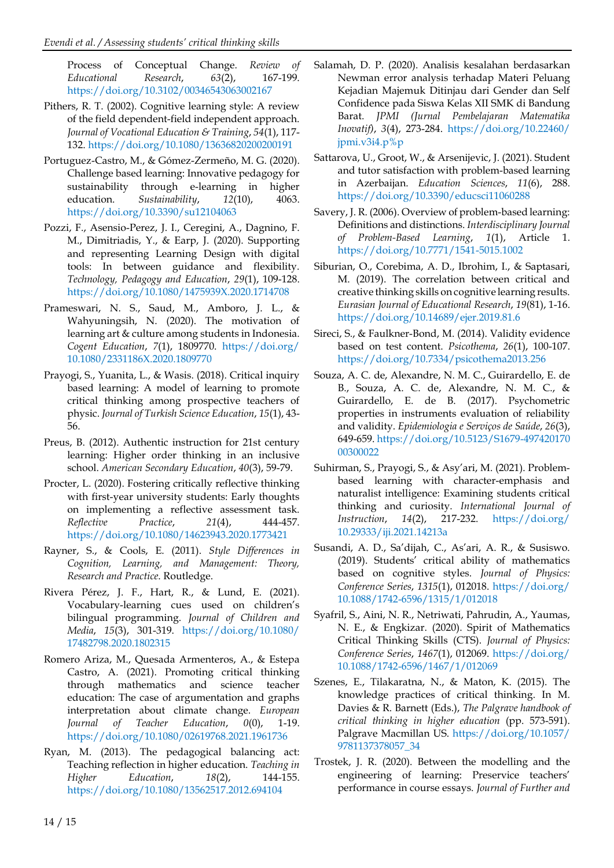Process of Conceptual Change. *Review of Educational Research*, *63*(2), 167-199. <https://doi.org/10.3102/00346543063002167>

- Pithers, R. T. (2002). Cognitive learning style: A review of the field dependent-field independent approach. *Journal of Vocational Education & Training*, *54*(1), 117- 132. <https://doi.org/10.1080/13636820200200191>
- Portuguez-Castro, M., & Gómez-Zermeño, M. G. (2020). Challenge based learning: Innovative pedagogy for sustainability through e-learning in higher education. *Sustainability*, *12*(10), 4063. <https://doi.org/10.3390/su12104063>
- Pozzi, F., Asensio-Perez, J. I., Ceregini, A., Dagnino, F. M., Dimitriadis, Y., & Earp, J. (2020). Supporting and representing Learning Design with digital tools: In between guidance and flexibility. *Technology, Pedagogy and Education*, *29*(1), 109-128. <https://doi.org/10.1080/1475939X.2020.1714708>
- Prameswari, N. S., Saud, M., Amboro, J. L., & Wahyuningsih, N. (2020). The motivation of learning art & culture among students in Indonesia. *Cogent Education*, *7*(1), 1809770. [https://doi.org/](https://doi.org/10.1080/2331186X.2020.1809770) [10.1080/2331186X.2020.1809770](https://doi.org/10.1080/2331186X.2020.1809770)
- Prayogi, S., Yuanita, L., & Wasis. (2018). Critical inquiry based learning: A model of learning to promote critical thinking among prospective teachers of physic. *Journal of Turkish Science Education*, *15*(1), 43- 56.
- Preus, B. (2012). Authentic instruction for 21st century learning: Higher order thinking in an inclusive school. *American Secondary Education*, *40*(3), 59-79.
- Procter, L. (2020). Fostering critically reflective thinking with first-year university students: Early thoughts on implementing a reflective assessment task. *Reflective Practice*, *21*(4), 444-457. <https://doi.org/10.1080/14623943.2020.1773421>
- Rayner, S., & Cools, E. (2011). *Style Differences in Cognition, Learning, and Management: Theory, Research and Practice*. Routledge.
- Rivera Pérez, J. F., Hart, R., & Lund, E. (2021). Vocabulary-learning cues used on children's bilingual programming. *Journal of Children and Media*, *15*(3), 301-319. [https://doi.org/10.1080/](https://doi.org/10.1080/17482798.2020.1802315) [17482798.2020.1802315](https://doi.org/10.1080/17482798.2020.1802315)
- Romero Ariza, M., Quesada Armenteros, A., & Estepa Castro, A. (2021). Promoting critical thinking through mathematics and science teacher education: The case of argumentation and graphs interpretation about climate change. *European Journal of Teacher Education*, *0*(0), 1-19. <https://doi.org/10.1080/02619768.2021.1961736>
- Ryan, M. (2013). The pedagogical balancing act: Teaching reflection in higher education. *Teaching in Higher Education*, *18*(2), 144-155. <https://doi.org/10.1080/13562517.2012.694104>
- Salamah, D. P. (2020). Analisis kesalahan berdasarkan Newman error analysis terhadap Materi Peluang Kejadian Majemuk Ditinjau dari Gender dan Self Confidence pada Siswa Kelas XII SMK di Bandung Barat. *JPMI (Jurnal Pembelajaran Matematika Inovatif)*, *3*(4), 273-284. [https://doi.org/10.22460/](https://doi.org/10.22460/jpmi.v3i4.p%25p)  $jpmi.v3i4.p\%p$
- Sattarova, U., Groot, W., & Arsenijevic, J. (2021). Student and tutor satisfaction with problem-based learning in Azerbaijan. *Education Sciences*, *11*(6), 288. <https://doi.org/10.3390/educsci11060288>
- Savery, J. R. (2006). Overview of problem-based learning: Definitions and distinctions. *Interdisciplinary Journal of Problem-Based Learning*, *1*(1), Article 1. <https://doi.org/10.7771/1541-5015.1002>
- Siburian, O., Corebima, A. D., Ibrohim, I., & Saptasari, M. (2019). The correlation between critical and creative thinking skills on cognitive learning results. *Eurasian Journal of Educational Research*, *19*(81), 1-16. <https://doi.org/10.14689/ejer.2019.81.6>
- Sireci, S., & Faulkner-Bond, M. (2014). Validity evidence based on test content. *Psicothema*, *26*(1), 100-107. <https://doi.org/10.7334/psicothema2013.256>
- Souza, A. C. de, Alexandre, N. M. C., Guirardello, E. de B., Souza, A. C. de, Alexandre, N. M. C., & Guirardello, E. de B. (2017). Psychometric properties in instruments evaluation of reliability and validity. *Epidemiologia e Serviços de Saúde*, *26*(3), 649-659. [https://doi.org/10.5123/S1679-497420170](https://doi.org/10.5123/S1679-49742017000300022) [00300022](https://doi.org/10.5123/S1679-49742017000300022)
- Suhirman, S., Prayogi, S., & Asy'ari, M. (2021). Problembased learning with character-emphasis and naturalist intelligence: Examining students critical thinking and curiosity. *International Journal of Instruction*, *14*(2), 217-232. [https://doi.org/](https://doi.org/10.29333/iji.2021.14213a) [10.29333/iji.2021.14213a](https://doi.org/10.29333/iji.2021.14213a)
- Susandi, A. D., Sa'dijah, C., As'ari, A. R., & Susiswo. (2019). Students' critical ability of mathematics based on cognitive styles. *Journal of Physics: Conference Series*, *1315*(1), 012018. [https://doi.org/](https://doi.org/10.1088/1742-6596/1315/1/012018) [10.1088/1742-6596/1315/1/012018](https://doi.org/10.1088/1742-6596/1315/1/012018)
- Syafril, S., Aini, N. R., Netriwati, Pahrudin, A., Yaumas, N. E., & Engkizar. (2020). Spirit of Mathematics Critical Thinking Skills (CTS). *Journal of Physics: Conference Series*, *1467*(1), 012069. [https://doi.org/](https://doi.org/10.1088/1742-6596/1467/1/012069) [10.1088/1742-6596/1467/1/012069](https://doi.org/10.1088/1742-6596/1467/1/012069)
- Szenes, E., Tilakaratna, N., & Maton, K. (2015). The knowledge practices of critical thinking. In M. Davies & R. Barnett (Eds.), *The Palgrave handbook of critical thinking in higher education* (pp. 573-591). Palgrave Macmillan US. [https://doi.org/10.1057/](https://doi.org/10.1057/9781137378057_34) [9781137378057\\_34](https://doi.org/10.1057/9781137378057_34)
- Trostek, J. R. (2020). Between the modelling and the engineering of learning: Preservice teachers' performance in course essays. *Journal of Further and*